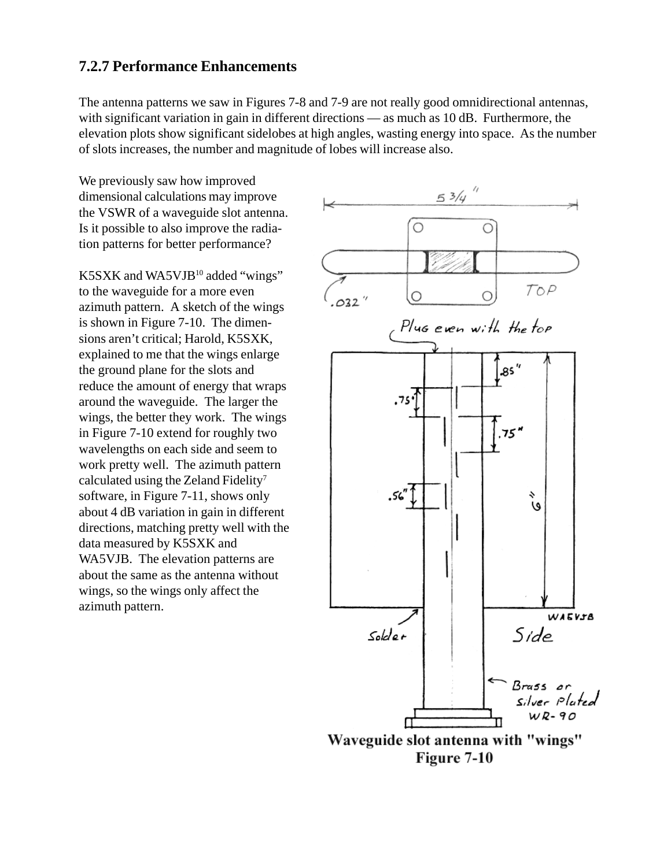#### **7.2.7 Performance Enhancements**

The antenna patterns we saw in Figures 7-8 and 7-9 are not really good omnidirectional antennas, with significant variation in gain in different directions — as much as 10 dB. Furthermore, the elevation plots show significant sidelobes at high angles, wasting energy into space. As the number of slots increases, the number and magnitude of lobes will increase also.

We previously saw how improved dimensional calculations may improve the VSWR of a waveguide slot antenna. Is it possible to also improve the radiation patterns for better performance?

K5SXK and WA5VJB10 added "wings" to the waveguide for a more even azimuth pattern. A sketch of the wings is shown in Figure 7-10. The dimensions aren't critical; Harold, K5SXK, explained to me that the wings enlarge the ground plane for the slots and reduce the amount of energy that wraps around the waveguide. The larger the wings, the better they work. The wings in Figure 7-10 extend for roughly two wavelengths on each side and seem to work pretty well. The azimuth pattern calculated using the Zeland Fidelity7 software, in Figure 7-11, shows only about 4 dB variation in gain in different directions, matching pretty well with the data measured by K5SXK and WA5VJB. The elevation patterns are about the same as the antenna without wings, so the wings only affect the azimuth pattern.

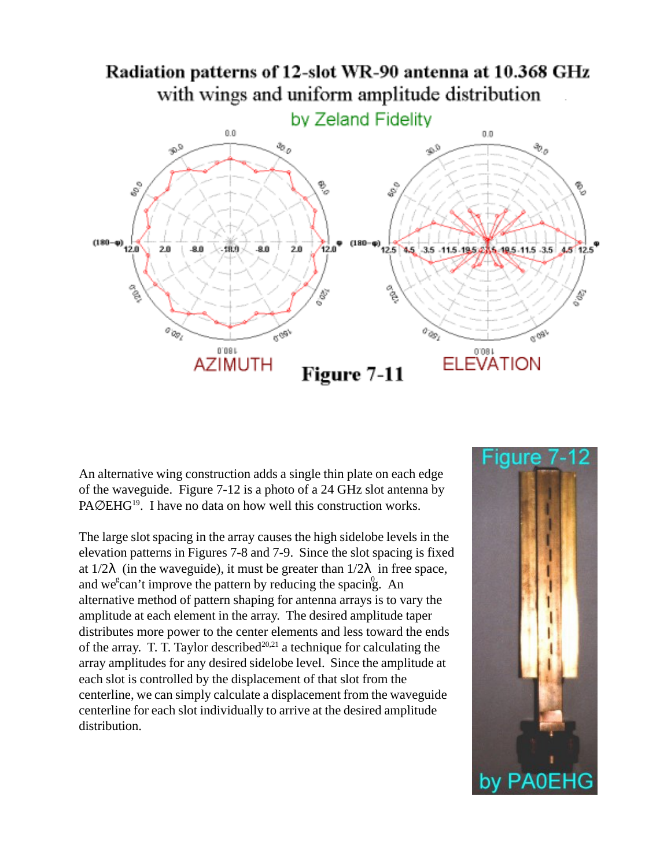

An alternative wing construction adds a single thin plate on each edge of the waveguide. Figure 7-12 is a photo of a 24 GHz slot antenna by PA∅EHG<sup>19</sup>. I have no data on how well this construction works.

The large slot spacing in the array causes the high sidelobe levels in the elevation patterns in Figures 7-8 and 7-9. Since the slot spacing is fixed at  $1/2\lambda$  (in the waveguide), it must be greater than  $1/2\lambda$  in free space, and we<sup>s</sup>can't improve the pattern by reducing the spacing. An alternative method of pattern shaping for antenna arrays is to vary the amplitude at each element in the array. The desired amplitude taper distributes more power to the center elements and less toward the ends of the array. T. T. Taylor described<sup>20,21</sup> a technique for calculating the array amplitudes for any desired sidelobe level. Since the amplitude at each slot is controlled by the displacement of that slot from the centerline, we can simply calculate a displacement from the waveguide centerline for each slot individually to arrive at the desired amplitude distribution.

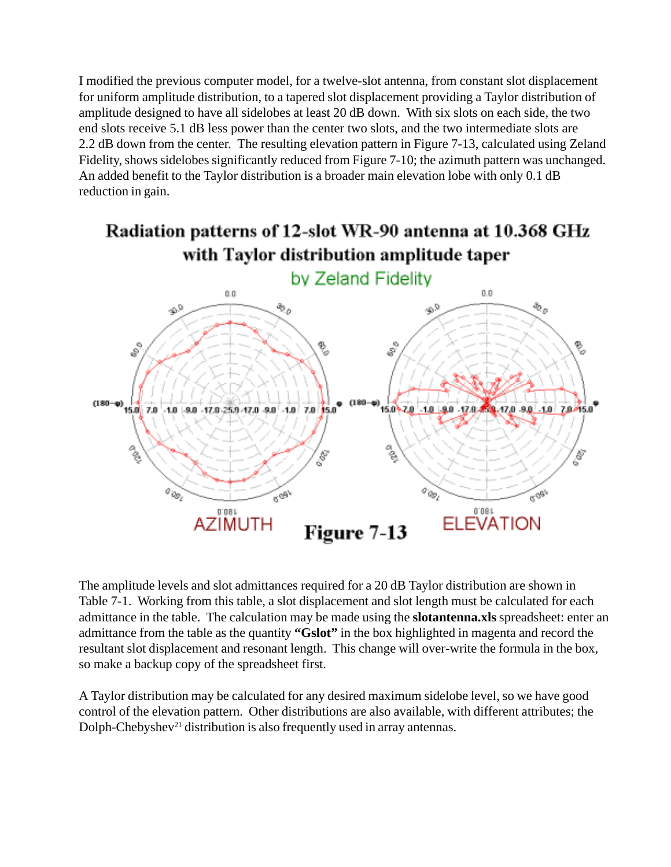I modified the previous computer model, for a twelve-slot antenna, from constant slot displacement for uniform amplitude distribution, to a tapered slot displacement providing a Taylor distribution of amplitude designed to have all sidelobes at least 20 dB down. With six slots on each side, the two end slots receive 5.1 dB less power than the center two slots, and the two intermediate slots are 2.2 dB down from the center. The resulting elevation pattern in Figure 7-13, calculated using Zeland Fidelity, shows sidelobes significantly reduced from Figure 7-10; the azimuth pattern was unchanged. An added benefit to the Taylor distribution is a broader main elevation lobe with only 0.1 dB reduction in gain.

# Radiation patterns of 12-slot WR-90 antenna at 10.368 GHz with Taylor distribution amplitude taper



The amplitude levels and slot admittances required for a 20 dB Taylor distribution are shown in Table 7-1. Working from this table, a slot displacement and slot length must be calculated for each admittance in the table. The calculation may be made using the **slotantenna.xls** spreadsheet: enter an admittance from the table as the quantity **"Gslot"** in the box highlighted in magenta and record the resultant slot displacement and resonant length. This change will over-write the formula in the box, so make a backup copy of the spreadsheet first.

A Taylor distribution may be calculated for any desired maximum sidelobe level, so we have good control of the elevation pattern. Other distributions are also available, with different attributes; the Dolph-Chebyshev<sup>21</sup> distribution is also frequently used in array antennas.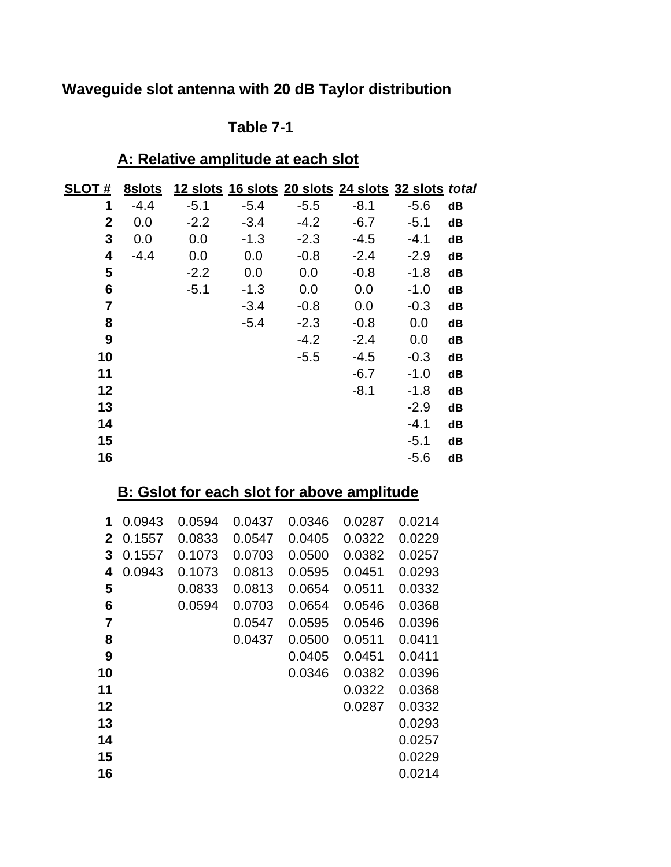# **Waveguide slot antenna with 20 dB Taylor distribution**

### **Table 7-1**

### **A: Relative amplitude at each slot**

| <b>SLOT#</b> | 8slots |        |        | 12 slots 16 slots 20 slots 24 slots 32 slots total |        |        |    |
|--------------|--------|--------|--------|----------------------------------------------------|--------|--------|----|
| 1            | $-4.4$ | $-5.1$ | $-5.4$ | $-5.5$                                             | $-8.1$ | $-5.6$ | dB |
| $\mathbf 2$  | 0.0    | $-2.2$ | $-3.4$ | $-4.2$                                             | $-6.7$ | $-5.1$ | dB |
| 3            | 0.0    | 0.0    | $-1.3$ | $-2.3$                                             | $-4.5$ | $-4.1$ | dB |
| 4            | $-4.4$ | 0.0    | 0.0    | $-0.8$                                             | $-2.4$ | $-2.9$ | dB |
| 5            |        | $-2.2$ | 0.0    | 0.0                                                | $-0.8$ | $-1.8$ | dB |
| 6            |        | $-5.1$ | $-1.3$ | 0.0                                                | 0.0    | $-1.0$ | dB |
| 7            |        |        | $-3.4$ | $-0.8$                                             | 0.0    | $-0.3$ | dB |
| 8            |        |        | $-5.4$ | $-2.3$                                             | $-0.8$ | 0.0    | dB |
| 9            |        |        |        | $-4.2$                                             | $-2.4$ | 0.0    | dB |
| 10           |        |        |        | $-5.5$                                             | $-4.5$ | $-0.3$ | dB |
| 11           |        |        |        |                                                    | $-6.7$ | $-1.0$ | dB |
| 12           |        |        |        |                                                    | $-8.1$ | $-1.8$ | dB |
| 13           |        |        |        |                                                    |        | $-2.9$ | dB |
| 14           |        |        |        |                                                    |        | $-4.1$ | dB |
| 15           |        |        |        |                                                    |        | $-5.1$ | dB |
| 16           |        |        |        |                                                    |        | $-5.6$ | dB |

### **B: Gslot for each slot for above amplitude**

| 1              | 0.0943 | 0.0594 | 0.0437 | 0.0346 | 0.0287 | 0.0214 |
|----------------|--------|--------|--------|--------|--------|--------|
| 2              | 0.1557 | 0.0833 | 0.0547 | 0.0405 | 0.0322 | 0.0229 |
| 3              | 0.1557 | 0.1073 | 0.0703 | 0.0500 | 0.0382 | 0.0257 |
| 4              | 0.0943 | 0.1073 | 0.0813 | 0.0595 | 0.0451 | 0.0293 |
| 5              |        | 0.0833 | 0.0813 | 0.0654 | 0.0511 | 0.0332 |
| 6              |        | 0.0594 | 0.0703 | 0.0654 | 0.0546 | 0.0368 |
| $\overline{7}$ |        |        | 0.0547 | 0.0595 | 0.0546 | 0.0396 |
| 8              |        |        | 0.0437 | 0.0500 | 0.0511 | 0.0411 |
| 9              |        |        |        | 0.0405 | 0.0451 | 0.0411 |
| 10             |        |        |        | 0.0346 | 0.0382 | 0.0396 |
| 11             |        |        |        |        | 0.0322 | 0.0368 |
| 12             |        |        |        |        | 0.0287 | 0.0332 |
| 13             |        |        |        |        |        | 0.0293 |
| 14             |        |        |        |        |        | 0.0257 |
| 15             |        |        |        |        |        | 0.0229 |
| 16             |        |        |        |        |        | 0.0214 |
|                |        |        |        |        |        |        |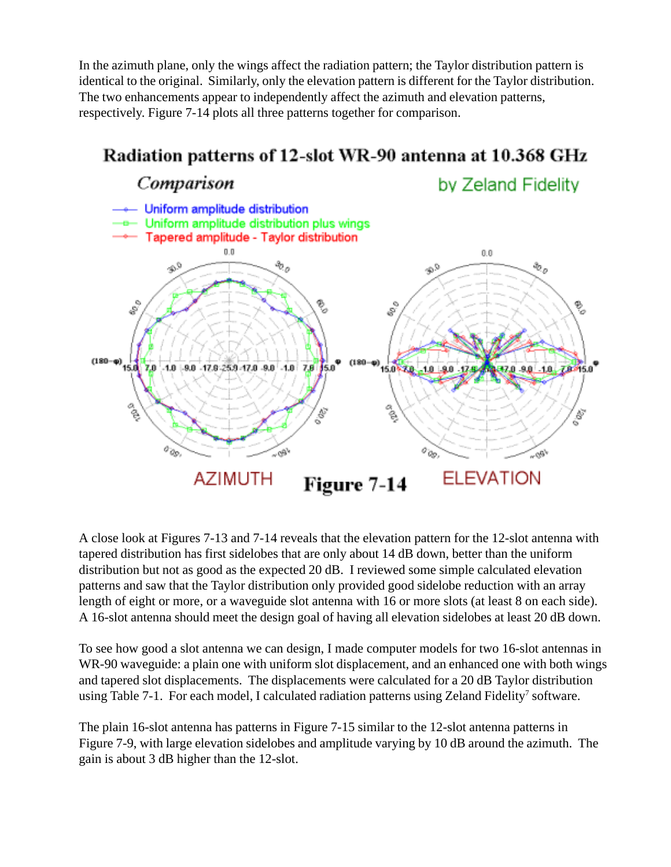In the azimuth plane, only the wings affect the radiation pattern; the Taylor distribution pattern is identical to the original. Similarly, only the elevation pattern is different for the Taylor distribution. The two enhancements appear to independently affect the azimuth and elevation patterns, respectively. Figure 7-14 plots all three patterns together for comparison.



A close look at Figures 7-13 and 7-14 reveals that the elevation pattern for the 12-slot antenna with tapered distribution has first sidelobes that are only about 14 dB down, better than the uniform distribution but not as good as the expected 20 dB. I reviewed some simple calculated elevation patterns and saw that the Taylor distribution only provided good sidelobe reduction with an array length of eight or more, or a waveguide slot antenna with 16 or more slots (at least 8 on each side). A 16-slot antenna should meet the design goal of having all elevation sidelobes at least 20 dB down.

To see how good a slot antenna we can design, I made computer models for two 16-slot antennas in WR-90 waveguide: a plain one with uniform slot displacement, and an enhanced one with both wings and tapered slot displacements. The displacements were calculated for a 20 dB Taylor distribution using Table 7-1. For each model, I calculated radiation patterns using Zeland Fidelity<sup>7</sup> software.

The plain 16-slot antenna has patterns in Figure 7-15 similar to the 12-slot antenna patterns in Figure 7-9, with large elevation sidelobes and amplitude varying by 10 dB around the azimuth. The gain is about 3 dB higher than the 12-slot.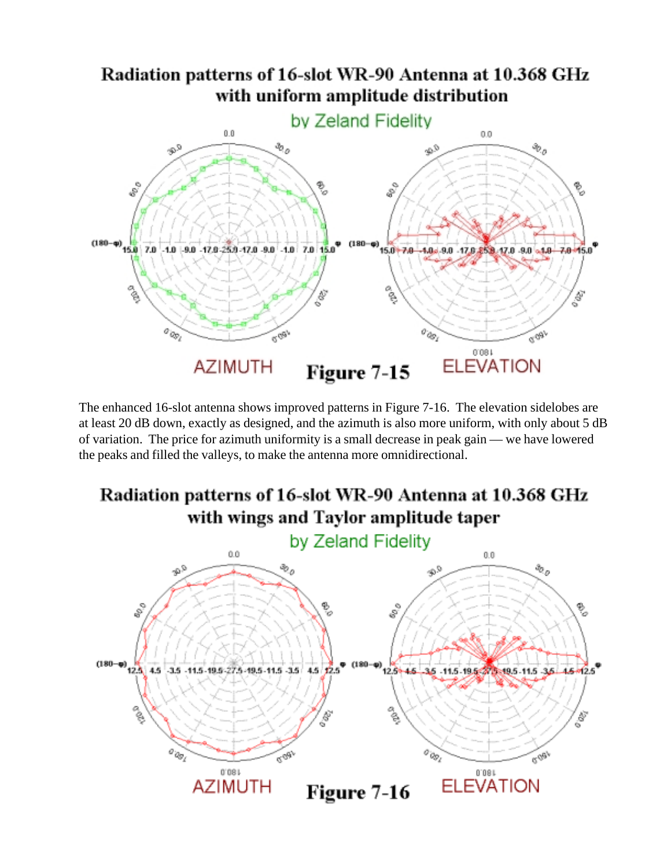## Radiation patterns of 16-slot WR-90 Antenna at 10.368 GHz with uniform amplitude distribution



The enhanced 16-slot antenna shows improved patterns in Figure 7-16. The elevation sidelobes are at least 20 dB down, exactly as designed, and the azimuth is also more uniform, with only about 5 dB of variation. The price for azimuth uniformity is a small decrease in peak gain — we have lowered the peaks and filled the valleys, to make the antenna more omnidirectional.

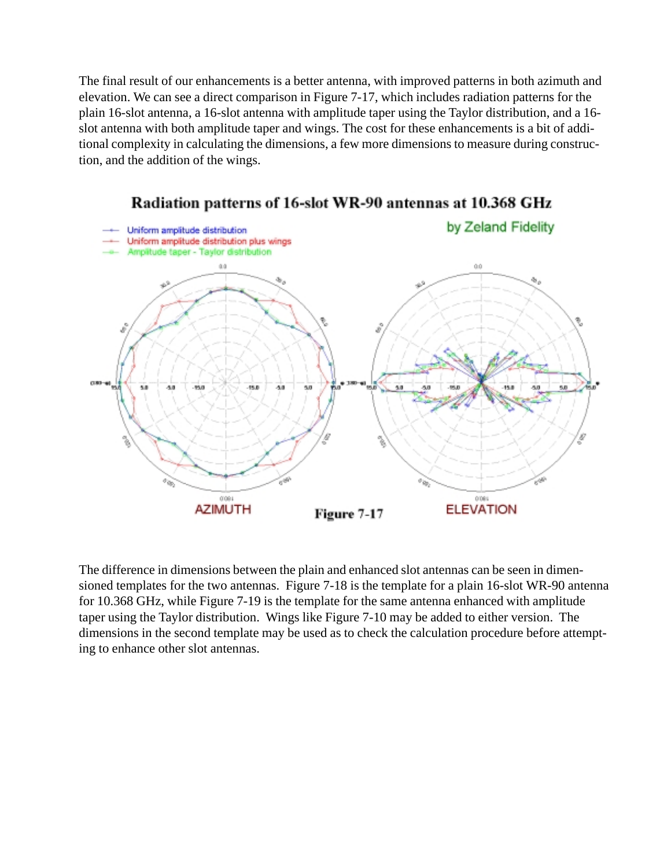The final result of our enhancements is a better antenna, with improved patterns in both azimuth and elevation. We can see a direct comparison in Figure 7-17, which includes radiation patterns for the plain 16-slot antenna, a 16-slot antenna with amplitude taper using the Taylor distribution, and a 16 slot antenna with both amplitude taper and wings. The cost for these enhancements is a bit of additional complexity in calculating the dimensions, a few more dimensions to measure during construction, and the addition of the wings.



Radiation patterns of 16-slot WR-90 antennas at 10.368 GHz

The difference in dimensions between the plain and enhanced slot antennas can be seen in dimensioned templates for the two antennas. Figure 7-18 is the template for a plain 16-slot WR-90 antenna for 10.368 GHz, while Figure 7-19 is the template for the same antenna enhanced with amplitude taper using the Taylor distribution. Wings like Figure 7-10 may be added to either version. The dimensions in the second template may be used as to check the calculation procedure before attempting to enhance other slot antennas.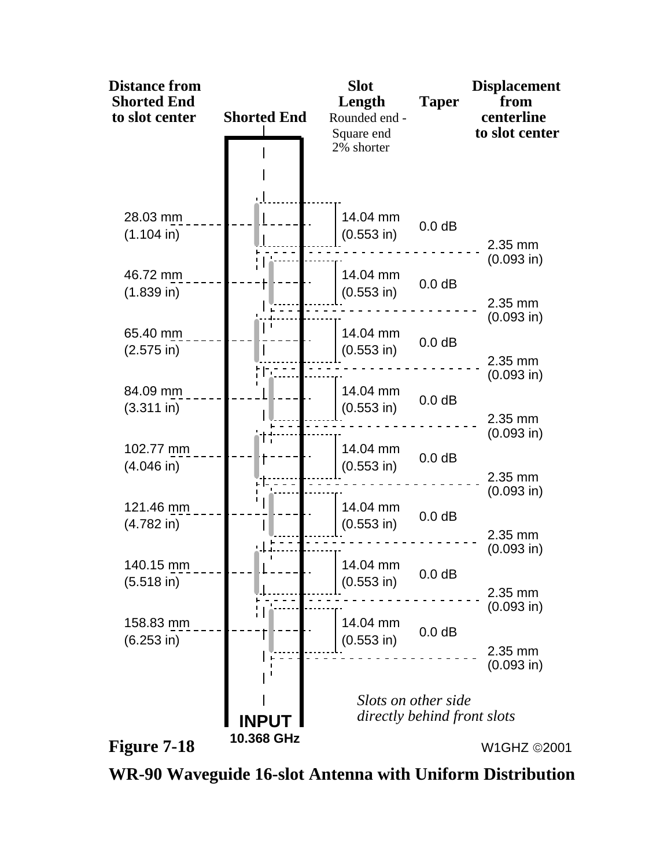

**WR-90 Waveguide 16-slot Antenna with Uniform Distribution**